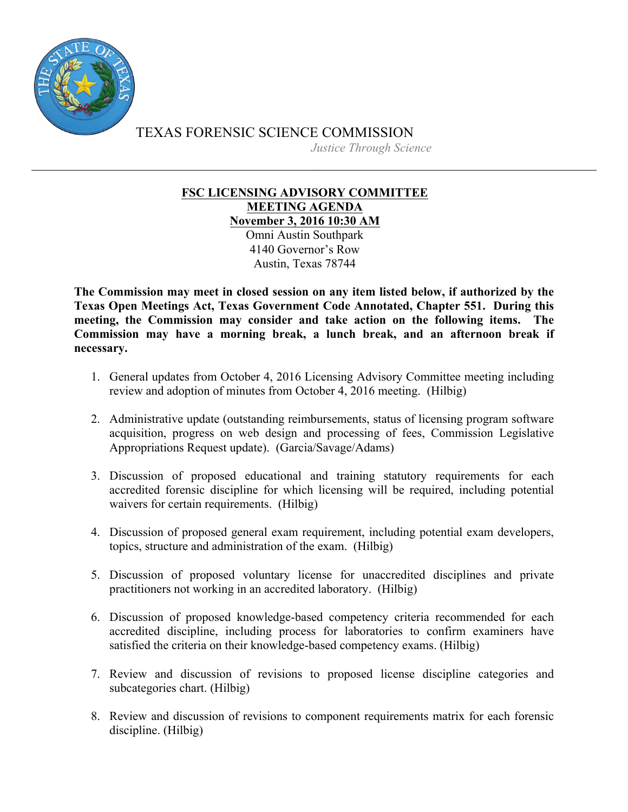

TEXAS FORENSIC SCIENCE COMMISSION *Justice Through Science*

## **FSC LICENSING ADVISORY COMMITTEE MEETING AGENDA November 3, 2016 10:30 AM**

Omni Austin Southpark 4140 Governor's Row Austin, Texas 78744

**The Commission may meet in closed session on any item listed below, if authorized by the Texas Open Meetings Act, Texas Government Code Annotated, Chapter 551. During this meeting, the Commission may consider and take action on the following items. The Commission may have a morning break, a lunch break, and an afternoon break if necessary.**

- 1. General updates from October 4, 2016 Licensing Advisory Committee meeting including review and adoption of minutes from October 4, 2016 meeting. (Hilbig)
- 2. Administrative update (outstanding reimbursements, status of licensing program software acquisition, progress on web design and processing of fees, Commission Legislative Appropriations Request update). (Garcia/Savage/Adams)
- 3. Discussion of proposed educational and training statutory requirements for each accredited forensic discipline for which licensing will be required, including potential waivers for certain requirements. (Hilbig)
- 4. Discussion of proposed general exam requirement, including potential exam developers, topics, structure and administration of the exam. (Hilbig)
- 5. Discussion of proposed voluntary license for unaccredited disciplines and private practitioners not working in an accredited laboratory. (Hilbig)
- 6. Discussion of proposed knowledge-based competency criteria recommended for each accredited discipline, including process for laboratories to confirm examiners have satisfied the criteria on their knowledge-based competency exams. (Hilbig)
- 7. Review and discussion of revisions to proposed license discipline categories and subcategories chart. (Hilbig)
- 8. Review and discussion of revisions to component requirements matrix for each forensic discipline. (Hilbig)